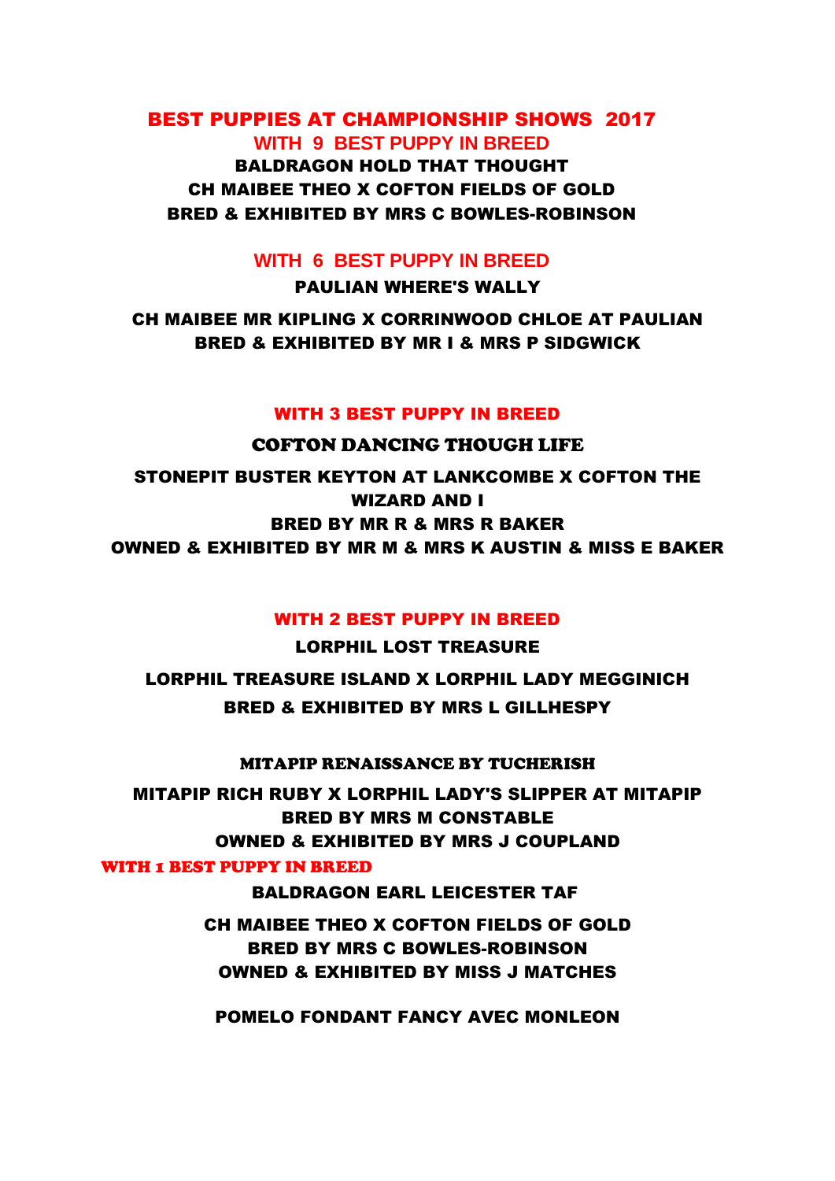## BEST PUPPIES AT CHAMPIONSHIP SHOWS 2017 **WITH 9 BEST PUPPY IN BREED** BALDRAGON HOLD THAT THOUGHT CH MAIBEE THEO X COFTON FIELDS OF GOLD

BRED & EXHIBITED BY MRS C BOWLES-ROBINSON

### **WITH 6 BEST PUPPY IN BREED**

PAULIAN WHERE'S WALLY

CH MAIBEE MR KIPLING X CORRINWOOD CHLOE AT PAULIAN BRED & EXHIBITED BY MR I & MRS P SIDGWICK

#### WITH 3 BEST PUPPY IN BREED

COFTON DANCING THOUGH LIFE STONEPIT BUSTER KEYTON AT LANKCOMBE X COFTON THE WIZARD AND I BRED BY MR R & MRS R BAKER OWNED & EXHIBITED BY MR M & MRS K AUSTIN & MISS E BAKER

#### WITH 2 BEST PUPPY IN BREED

LORPHIL LOST TREASURE LORPHIL TREASURE ISLAND X LORPHIL LADY MEGGINICH BRED & EXHIBITED BY MRS L GILLHESPY

MITAPIP RENAISSANCE BY TUCHERISH

MITAPIP RICH RUBY X LORPHIL LADY'S SLIPPER AT MITAPIP BRED BY MRS M CONSTABLE OWNED & EXHIBITED BY MRS J COUPLAND

#### WITH 1 BEST PUPPY IN BREED

BALDRAGON EARL LEICESTER TAF

CH MAIBEE THEO X COFTON FIELDS OF GOLD BRED BY MRS C BOWLES-ROBINSON OWNED & EXHIBITED BY MISS J MATCHES

POMELO FONDANT FANCY AVEC MONLEON